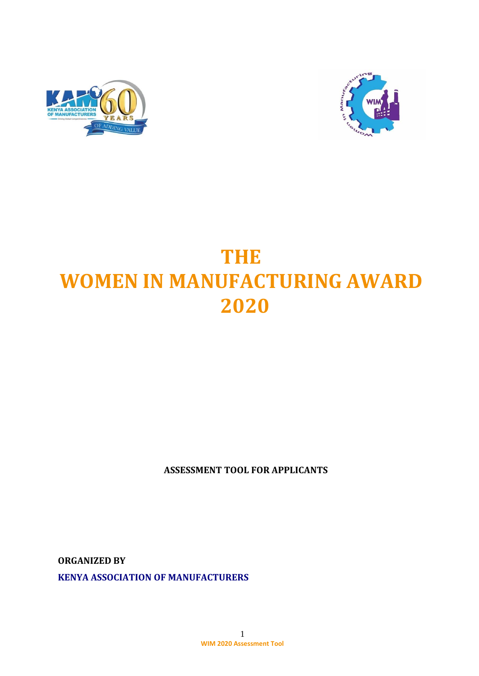



# **THE WOMEN IN MANUFACTURING AWARD 2020**

**ASSESSMENT TOOL FOR APPLICANTS**

**ORGANIZED BY KENYA ASSOCIATION OF MANUFACTURERS**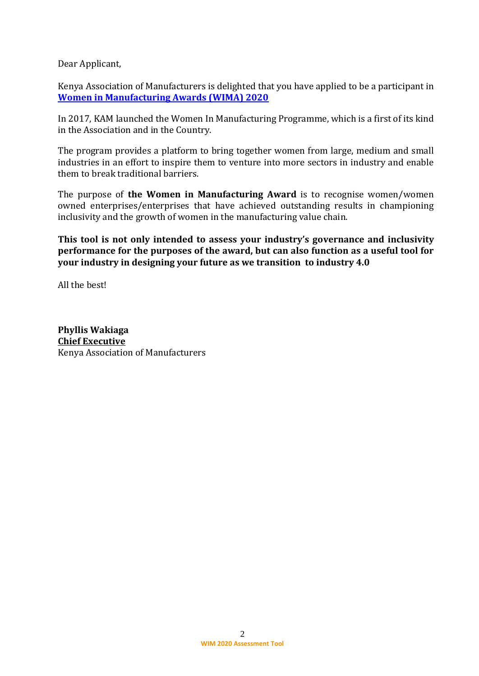Dear Applicant,

Kenya Association of Manufacturers is delighted that you have applied to be a participant in **Women in Manufacturing Awards (WIMA) 2020**

In 2017, KAM launched the Women In Manufacturing Programme, which is a first of its kind in the Association and in the Country.

The program provides a platform to bring together women from large, medium and small industries in an effort to inspire them to venture into more sectors in industry and enable them to break traditional barriers.

The purpose of **the Women in Manufacturing Award** is to recognise women/women owned enterprises/enterprises that have achieved outstanding results in championing inclusivity and the growth of women in the manufacturing value chain.

**This tool is not only intended to assess your industry's governance and inclusivity performance for the purposes of the award, but can also function as a useful tool for your industry in designing your future as we transition to industry 4.0**

All the best!

**Phyllis Wakiaga Chief Executive** Kenya Association of Manufacturers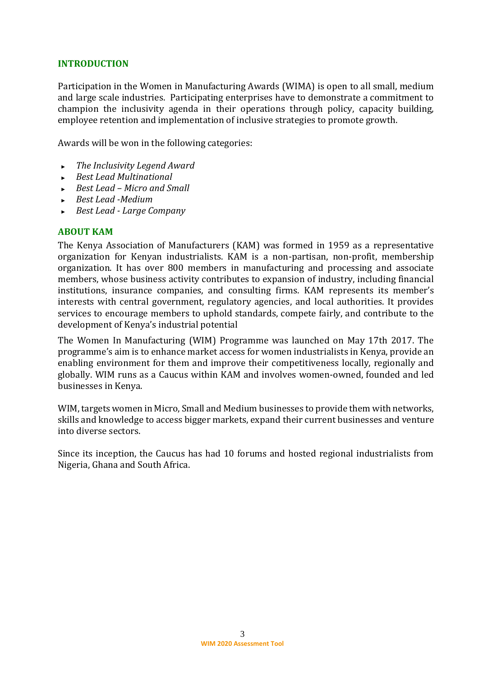#### **INTRODUCTION**

Participation in the Women in Manufacturing Awards (WIMA) is open to all small, medium and large scale industries. Participating enterprises have to demonstrate a commitment to champion the inclusivity agenda in their operations through policy, capacity building, employee retention and implementation of inclusive strategies to promote growth.

Awards will be won in the following categories:

- ► *The Inclusivity Legend Award*
- ► *Best Lead Multinational*
- ► *Best Lead – Micro and Small*
- ► *Best Lead -Medium*
- ► *Best Lead - Large Company*

#### **ABOUT KAM**

The Kenya Association of Manufacturers (KAM) was formed in 1959 as a representative organization for Kenyan industrialists. KAM is a non-partisan, non-profit, membership organization. It has over 800 members in manufacturing and processing and associate members, whose business activity contributes to expansion of industry, including financial institutions, insurance companies, and consulting firms. KAM represents its member's interests with central government, regulatory agencies, and local authorities. It provides services to encourage members to uphold standards, compete fairly, and contribute to the development of Kenya's industrial potential

The Women In Manufacturing (WIM) Programme was launched on May 17th 2017. The programme's aim is to enhance market access for women industrialists in Kenya, provide an enabling environment for them and improve their competitiveness locally, regionally and globally. WIM runs as a Caucus within KAM and involves women-owned, founded and led businesses in Kenya.

WIM, targets women in Micro, Small and Medium businesses to provide them with networks, skills and knowledge to access bigger markets, expand their current businesses and venture into diverse sectors.

Since its inception, the Caucus has had 10 forums and hosted regional industrialists from Nigeria, Ghana and South Africa.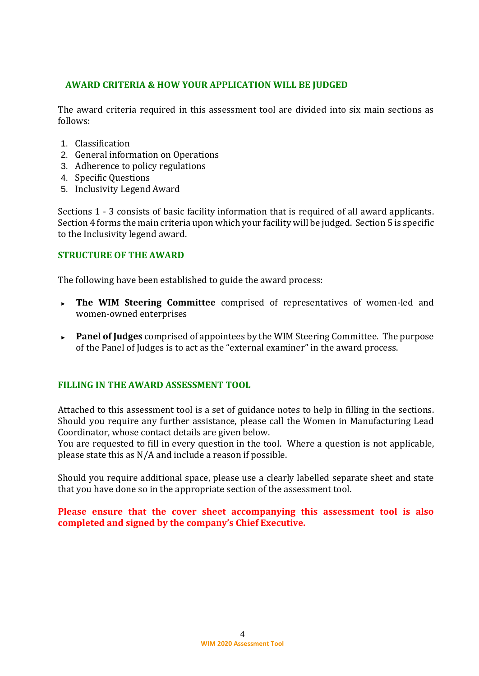#### **AWARD CRITERIA & HOW YOUR APPLICATION WILL BE JUDGED**

The award criteria required in this assessment tool are divided into six main sections as follows:

- 1. Classification
- 2. General information on Operations
- 3. Adherence to policy regulations
- 4. Specific Questions
- 5. Inclusivity Legend Award

Sections 1 - 3 consists of basic facility information that is required of all award applicants. Section 4 forms the main criteria upon which your facility will be judged. Section 5 is specific to the Inclusivity legend award.

#### **STRUCTURE OF THE AWARD**

The following have been established to guide the award process:

- ► **The WIM Steering Committee** comprised of representatives of women-led and women-owned enterprises
- ► **Panel of Judges** comprised of appointees by the WIM Steering Committee. The purpose of the Panel of Judges is to act as the "external examiner" in the award process.

#### **FILLING IN THE AWARD ASSESSMENT TOOL**

Attached to this assessment tool is a set of guidance notes to help in filling in the sections. Should you require any further assistance, please call the Women in Manufacturing Lead Coordinator, whose contact details are given below.

You are requested to fill in every question in the tool. Where a question is not applicable, please state this as N/A and include a reason if possible.

Should you require additional space, please use a clearly labelled separate sheet and state that you have done so in the appropriate section of the assessment tool.

#### **Please ensure that the cover sheet accompanying this assessment tool is also completed and signed by the company's Chief Executive.**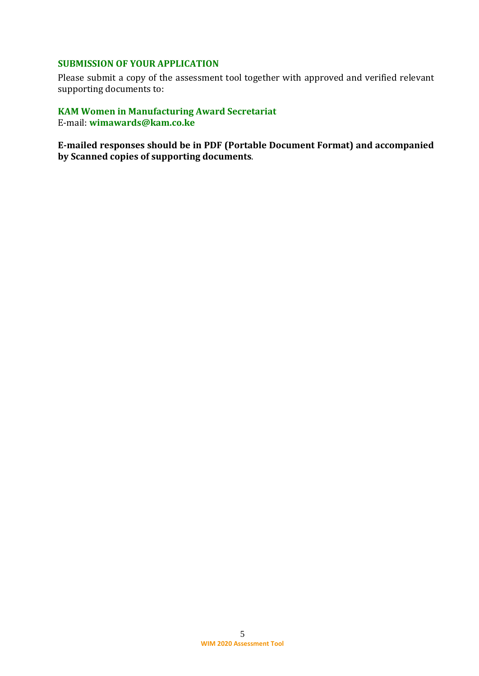#### **SUBMISSION OF YOUR APPLICATION**

Please submit a copy of the assessment tool together with approved and verified relevant supporting documents to:

## **KAM Women in Manufacturing Award Secretariat** E-mail: **wimawards@kam.co.ke**

**E-mailed responses should be in PDF (Portable Document Format) and accompanied by Scanned copies of supporting documents**.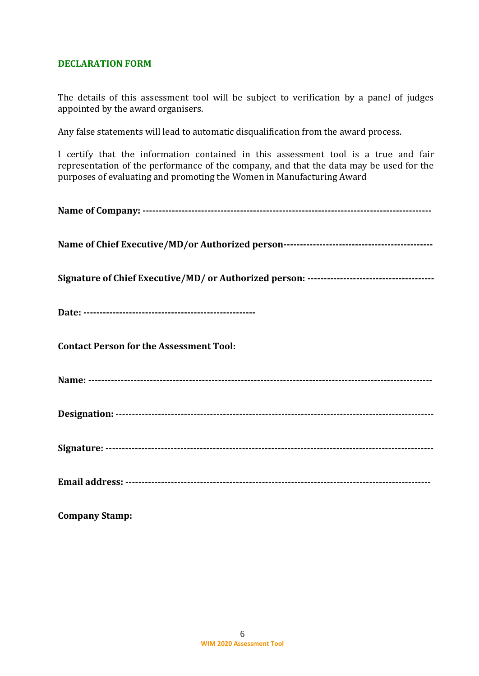#### **DECLARATION FORM**

The details of this assessment tool will be subject to verification by a panel of judges appointed by the award organisers.

Any false statements will lead to automatic disqualification from the award process.

I certify that the information contained in this assessment tool is a true and fair representation of the performance of the company, and that the data may be used for the purposes of evaluating and promoting the Women in Manufacturing Award

| <b>Contact Person for the Assessment Tool:</b> |
|------------------------------------------------|
|                                                |
|                                                |
|                                                |
|                                                |

**Company Stamp:**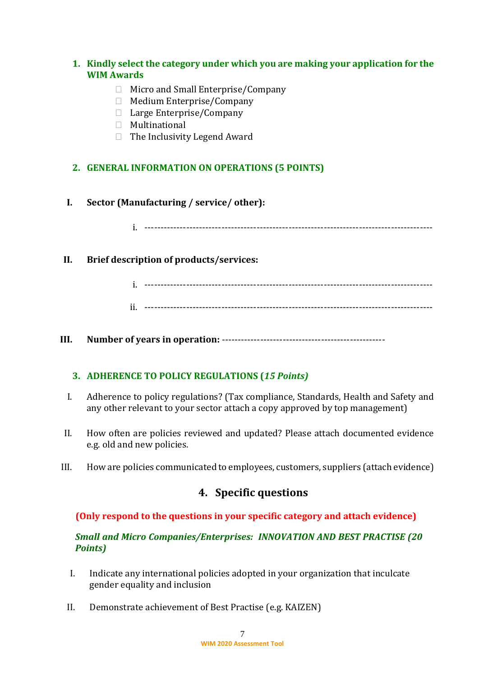## **1. Kindly select the category under which you are making your application for the WIM Awards**

- □ Micro and Small Enterprise/Company
- □ Medium Enterprise/Company
- □ Large Enterprise/Company
- Multinational
- $\Box$  The Inclusivity Legend Award

## **2. GENERAL INFORMATION ON OPERATIONS (5 POINTS)**

**I. Sector (Manufacturing / service/ other):**

i. ------------------------------------------------------------------------------------------

## **II. Brief description of products/services:**

i. ------------------------------------------------------------------------------------------

ii. ------------------------------------------------------------------------------------------

**III. Number of years in operation:** ---------------------------------------------------

## **3. ADHERENCE TO POLICY REGULATIONS (***15 Points)*

- I. Adherence to policy regulations? (Tax compliance, Standards, Health and Safety and any other relevant to your sector attach a copy approved by top management)
- II. How often are policies reviewed and updated? Please attach documented evidence e.g. old and new policies.
- III. How are policies communicated to employees, customers, suppliers (attach evidence)

# **4. Specific questions**

## **(Only respond to the questions in your specific category and attach evidence)**

## *Small and Micro Companies/Enterprises: INNOVATION AND BEST PRACTISE (20 Points)*

- I. Indicate any international policies adopted in your organization that inculcate gender equality and inclusion
- II. Demonstrate achievement of Best Practise (e.g. KAIZEN)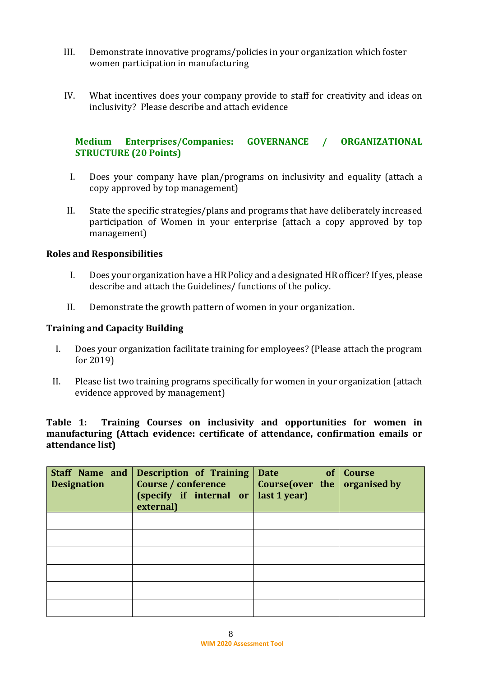- III. Demonstrate innovative programs/policies in your organization which foster women participation in manufacturing
- IV. What incentives does your company provide to staff for creativity and ideas on inclusivity? Please describe and attach evidence

## **Medium Enterprises/Companies: GOVERNANCE / ORGANIZATIONAL STRUCTURE (20 Points)**

- I. Does your company have plan/programs on inclusivity and equality (attach a copy approved by top management)
- II. State the specific strategies/plans and programs that have deliberately increased participation of Women in your enterprise (attach a copy approved by top management)

#### **Roles and Responsibilities**

- I. Does your organization have a HR Policy and a designated HR officer? If yes, please describe and attach the Guidelines/ functions of the policy.
- II. Demonstrate the growth pattern of women in your organization.

#### **Training and Capacity Building**

- I. Does your organization facilitate training for employees? (Please attach the program for 2019)
- II. Please list two training programs specifically for women in your organization (attach evidence approved by management)

**Table 1: Training Courses on inclusivity and opportunities for women in manufacturing (Attach evidence: certificate of attendance, confirmation emails or attendance list)**

| <b>Designation</b> | Staff Name and Description of Training<br>Course / conference<br>(specify if internal or<br>external) | of<br><b>Date</b><br>Course (over the $\vert$ organised by<br>last 1 year) | <b>Course</b> |
|--------------------|-------------------------------------------------------------------------------------------------------|----------------------------------------------------------------------------|---------------|
|                    |                                                                                                       |                                                                            |               |
|                    |                                                                                                       |                                                                            |               |
|                    |                                                                                                       |                                                                            |               |
|                    |                                                                                                       |                                                                            |               |
|                    |                                                                                                       |                                                                            |               |
|                    |                                                                                                       |                                                                            |               |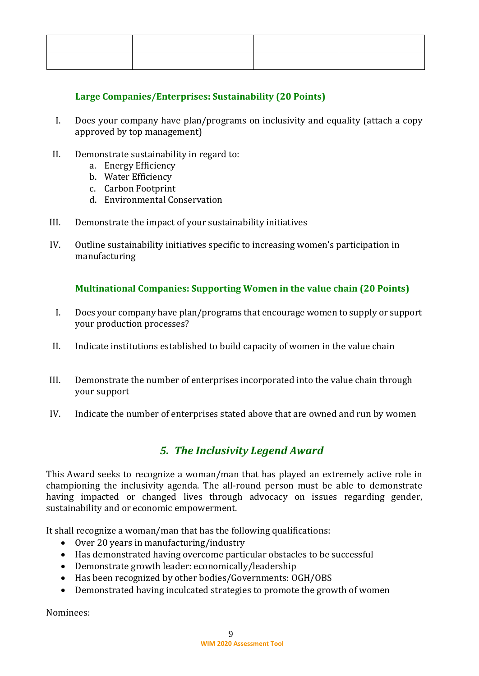## **Large Companies/Enterprises: Sustainability (20 Points)**

- I. Does your company have plan/programs on inclusivity and equality (attach a copy approved by top management)
- II. Demonstrate sustainability in regard to:
	- a. Energy Efficiency
	- b. Water Efficiency
	- c. Carbon Footprint
	- d. Environmental Conservation
- III. Demonstrate the impact of your sustainability initiatives
- IV. Outline sustainability initiatives specific to increasing women's participation in manufacturing

## **Multinational Companies: Supporting Women in the value chain (20 Points)**

- I. Does your company have plan/programs that encourage women to supply or support your production processes?
- II. Indicate institutions established to build capacity of women in the value chain
- III. Demonstrate the number of enterprises incorporated into the value chain through your support
- IV. Indicate the number of enterprises stated above that are owned and run by women

# *5. The Inclusivity Legend Award*

This Award seeks to recognize a woman/man that has played an extremely active role in championing the inclusivity agenda. The all-round person must be able to demonstrate having impacted or changed lives through advocacy on issues regarding gender, sustainability and or economic empowerment.

It shall recognize a woman/man that has the following qualifications:

- Over 20 years in manufacturing/industry
- Has demonstrated having overcome particular obstacles to be successful
- Demonstrate growth leader: economically/leadership
- Has been recognized by other bodies/Governments: OGH/OBS
- Demonstrated having inculcated strategies to promote the growth of women

Nominees: